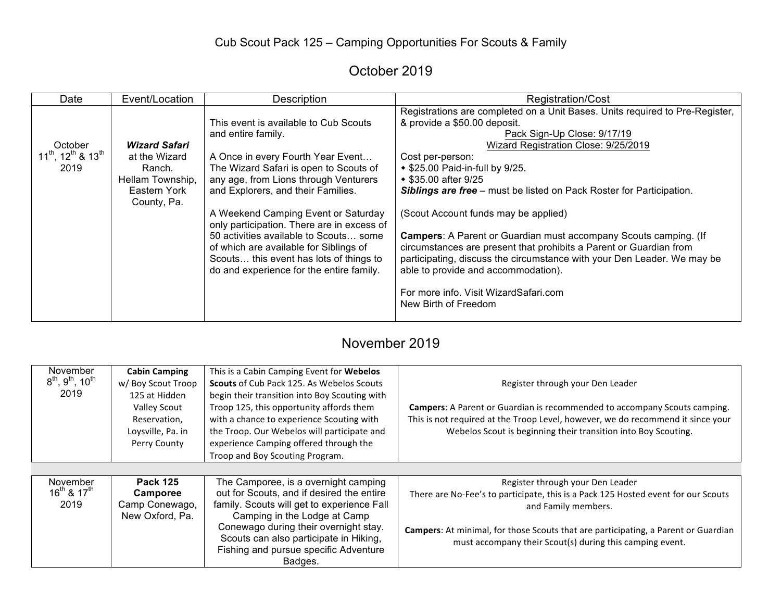# Cub Scout Pack 125 – Camping Opportunities For Scouts & Family

# October 2019

| Date                                                 | Event/Location                                                                                     | Description                                                                                                                                                                                                                                                                                                                                                                                                                                                                               | <b>Registration/Cost</b>                                                                                                                                                                                                                                                                                                                                                                                                                                                                                                                                                                                                                                                                                                      |
|------------------------------------------------------|----------------------------------------------------------------------------------------------------|-------------------------------------------------------------------------------------------------------------------------------------------------------------------------------------------------------------------------------------------------------------------------------------------------------------------------------------------------------------------------------------------------------------------------------------------------------------------------------------------|-------------------------------------------------------------------------------------------------------------------------------------------------------------------------------------------------------------------------------------------------------------------------------------------------------------------------------------------------------------------------------------------------------------------------------------------------------------------------------------------------------------------------------------------------------------------------------------------------------------------------------------------------------------------------------------------------------------------------------|
| October<br>$11^{th}$ , $12^{th}$ & $13^{th}$<br>2019 | <b>Wizard Safari</b><br>at the Wizard<br>Ranch.<br>Hellam Township,<br>Eastern York<br>County, Pa. | This event is available to Cub Scouts<br>and entire family.<br>A Once in every Fourth Year Event<br>The Wizard Safari is open to Scouts of<br>any age, from Lions through Venturers<br>and Explorers, and their Families.<br>A Weekend Camping Event or Saturday<br>only participation. There are in excess of<br>50 activities available to Scouts some<br>of which are available for Siblings of<br>Scouts this event has lots of things to<br>do and experience for the entire family. | Registrations are completed on a Unit Bases. Units required to Pre-Register,<br>& provide a \$50.00 deposit.<br>Pack Sign-Up Close: 9/17/19<br>Wizard Registration Close: 9/25/2019<br>Cost per-person:<br>◆ \$25.00 Paid-in-full by 9/25.<br>◆ \$35.00 after 9/25<br><b>Siblings are free</b> – must be listed on Pack Roster for Participation.<br>(Scout Account funds may be applied)<br><b>Campers:</b> A Parent or Guardian must accompany Scouts camping. (If<br>circumstances are present that prohibits a Parent or Guardian from<br>participating, discuss the circumstance with your Den Leader. We may be<br>able to provide and accommodation).<br>For more info. Visit WizardSafari.com<br>New Birth of Freedom |

### November 2019

| November                        | <b>Cabin Camping</b> | This is a Cabin Camping Event for Webelos     |                                                                                    |
|---------------------------------|----------------------|-----------------------------------------------|------------------------------------------------------------------------------------|
| $8^{th}$ , $9^{th}$ , $10^{th}$ | w/ Boy Scout Troop   | Scouts of Cub Pack 125. As Webelos Scouts     | Register through your Den Leader                                                   |
| 2019                            | 125 at Hidden        | begin their transition into Boy Scouting with |                                                                                    |
|                                 | Valley Scout         | Troop 125, this opportunity affords them      | <b>Campers:</b> A Parent or Guardian is recommended to accompany Scouts camping.   |
|                                 | Reservation,         | with a chance to experience Scouting with     | This is not required at the Troop Level, however, we do recommend it since your    |
|                                 | Loysville, Pa. in    | the Troop. Our Webelos will participate and   | Webelos Scout is beginning their transition into Boy Scouting.                     |
|                                 | Perry County         | experience Camping offered through the        |                                                                                    |
|                                 |                      | Troop and Boy Scouting Program.               |                                                                                    |
|                                 |                      |                                               |                                                                                    |
| November                        | <b>Pack 125</b>      | The Camporee, is a overnight camping          | Register through your Den Leader                                                   |
| $16^{th}$ & $17^{th}$           | Camporee             | out for Scouts, and if desired the entire     | There are No-Fee's to participate, this is a Pack 125 Hosted event for our Scouts  |
| 2019                            | Camp Conewago,       | family. Scouts will get to experience Fall    | and Family members.                                                                |
|                                 | New Oxford, Pa.      | Camping in the Lodge at Camp                  |                                                                                    |
|                                 |                      | Conewago during their overnight stay.         | Campers: At minimal, for those Scouts that are participating, a Parent or Guardian |
|                                 |                      | Scouts can also participate in Hiking,        | must accompany their Scout(s) during this camping event.                           |
|                                 |                      | Fishing and pursue specific Adventure         |                                                                                    |
|                                 |                      | Badges.                                       |                                                                                    |